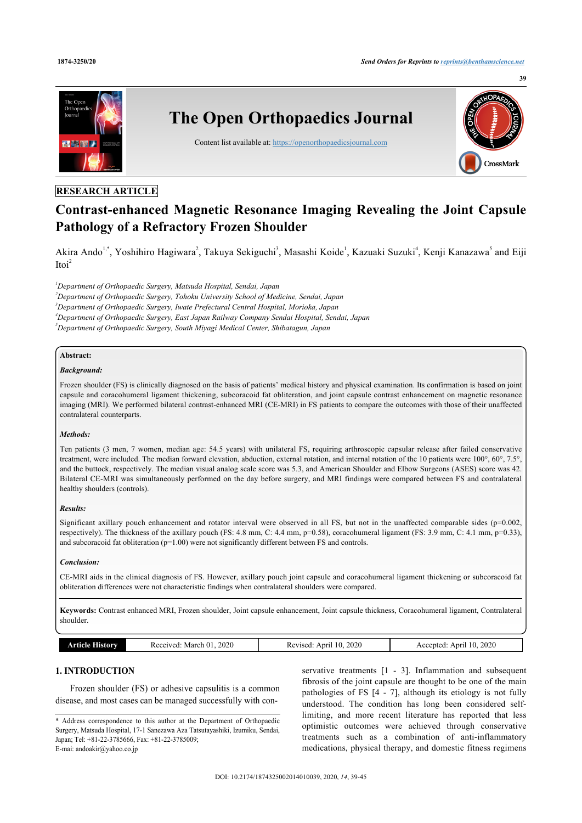

# **RESEARCH ARTICLE**

# **Contrast-enhanced Magnetic Resonance Imaging Revealing the Joint Capsule Pathology of a Refractory Frozen Shoulder**

Akira Ando<sup>[1](#page-0-0)[,\\*](#page-0-1)</sup>, Yoshihiro Hagiwara<sup>[2](#page-0-2)</sup>, Takuya Sekiguchi<sup>[3](#page-0-3)</sup>, Masashi Koide<sup>1</sup>, Kazuaki Suzuki<sup>[4](#page-0-4)</sup>, Kenji Kanazawa<sup>[5](#page-0-5)</sup> and Eiji  $I\text{to}i^2$  $I\text{to}i^2$ 

<span id="page-0-0"></span>*<sup>1</sup>Department of Orthopaedic Surgery, Matsuda Hospital, Sendai, Japan*

<span id="page-0-2"></span>*<sup>2</sup>Department of Orthopaedic Surgery, Tohoku University School of Medicine, Sendai, Japan*

<span id="page-0-4"></span><span id="page-0-3"></span>*<sup>3</sup>Department of Orthopaedic Surgery, Iwate Prefectural Central Hospital, Morioka, Japan*

*<sup>4</sup>Department of Orthopaedic Surgery, East Japan Railway Company Sendai Hospital, Sendai, Japan*

<span id="page-0-5"></span>*<sup>5</sup>Department of Orthopaedic Surgery, South Miyagi Medical Center, Shibatagun, Japan*

# **Abstract:**

# *Background:*

Frozen shoulder (FS) is clinically diagnosed on the basis of patients' medical history and physical examination. Its confirmation is based on joint capsule and coracohumeral ligament thickening, subcoracoid fat obliteration, and joint capsule contrast enhancement on magnetic resonance imaging (MRI). We performed bilateral contrast-enhanced MRI (CE-MRI) in FS patients to compare the outcomes with those of their unaffected contralateral counterparts.

### *Methods:*

Ten patients (3 men, 7 women, median age: 54.5 years) with unilateral FS, requiring arthroscopic capsular release after failed conservative treatment, were included. The median forward elevation, abduction, external rotation, and internal rotation of the 10 patients were 100°, 60°, 7.5°, and the buttock, respectively. The median visual analog scale score was 5.3, and American Shoulder and Elbow Surgeons (ASES) score was 42. Bilateral CE-MRI was simultaneously performed on the day before surgery, and MRI findings were compared between FS and contralateral healthy shoulders (controls).

# *Results:*

Significant axillary pouch enhancement and rotator interval were observed in all FS, but not in the unaffected comparable sides ( $p=0.002$ , respectively). The thickness of the axillary pouch (FS: 4.8 mm, C: 4.4 mm, p=0.58), coracohumeral ligament (FS: 3.9 mm, C: 4.1 mm, p=0.33), and subcoracoid fat obliteration (p=1.00) were not significantly different between FS and controls.

# *Conclusion:*

CE-MRI aids in the clinical diagnosis of FS. However, axillary pouch joint capsule and coracohumeral ligament thickening or subcoracoid fat obliteration differences were not characteristic findings when contralateral shoulders were compared.

**Keywords:** Contrast enhanced MRI, Frozen shoulder, Joint capsule enhancement, Joint capsule thickness, Coracohumeral ligament, Contralateral shoulder.

|  | $\mathbf{A}$ $\mathbf{C}$<br>rticle | 2020<br>، (۱<br>Received<br>. March 1<br>____<br>. | 2020<br>Anril<br>vised<br>w<br>. | 2020<br>10<br>ADELL<br>cented<br>Ac<br>. .<br>the contract of the contract of the contract of<br>. |
|--|-------------------------------------|----------------------------------------------------|----------------------------------|----------------------------------------------------------------------------------------------------|
|--|-------------------------------------|----------------------------------------------------|----------------------------------|----------------------------------------------------------------------------------------------------|

# **1. INTRODUCTION**

Frozen shoulder (FS) or adhesive capsulitis is a common disease, and most cases can be managed successfully with con-

servative treatments  $[1 - 3]$  $[1 - 3]$ . Inflammation and subsequent fibrosis of the joint capsule are thought to be one of the main pathologies of FS[[4](#page-5-2) - [7\]](#page-5-3), although its etiology is not fully understood. The condition has long been considered selflimiting, and more recent literature has reported that less optimistic outcomes were achieved through conservative treatments such as a combination of anti-inflammatory medications, physical therapy, and domestic fitness regimens

<span id="page-0-1"></span><sup>\*</sup> Address correspondence to this author at the Department of Orthopaedic Surgery, Matsuda Hospital, 17-1 Sanezawa Aza Tatsutayashiki, Izumiku, Sendai, Japan; Tel: +81-22-3785666, Fax: +81-22-3785009; E-mai: [andoakir@yahoo.co.jp](mailto:andoakir@yahoo.co.jp)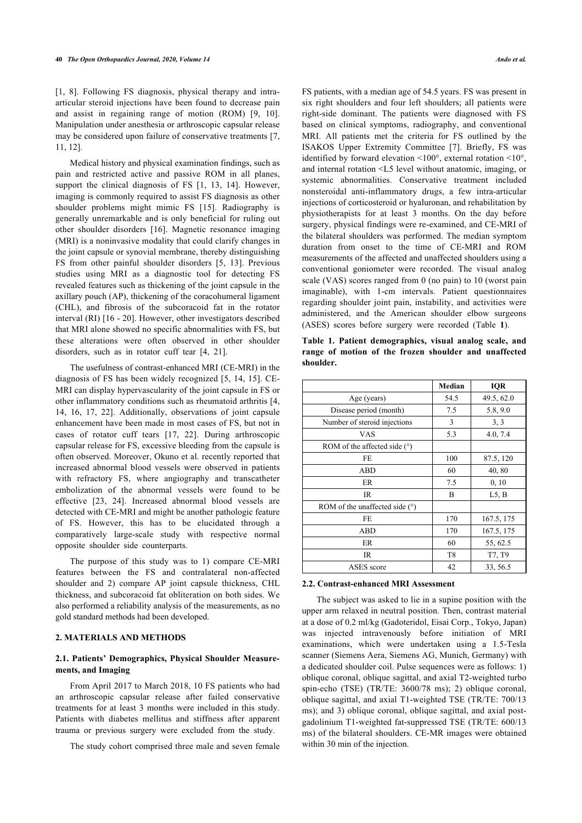[[1](#page-5-0), [8](#page-5-4)]. Following FS diagnosis, physical therapy and intraarticular steroid injections have been found to decrease pain and assist in regaining range of motion (ROM) [\[9](#page-5-5), [10\]](#page-5-6). Manipulation under anesthesia or arthroscopic capsular release may be considered upon failure of conservative treatments [\[7](#page-5-3), [11,](#page-5-7) [12](#page-5-8)].

Medical history and physical examination findings, such as pain and restricted active and passive ROM in all planes, support the clinical diagnosis of FS [\[1](#page-5-0), [13,](#page-5-9) [14\]](#page-5-10). However, imaging is commonly required to assist FS diagnosis as other shoulder problems might mimic FS [\[15\]](#page-5-11). Radiography is generally unremarkable and is only beneficial for ruling out other shoulder disorders [\[16](#page-5-12)]. Magnetic resonance imaging (MRI) is a noninvasive modality that could clarify changes in the joint capsule or synovial membrane, thereby distinguishing FS from other painful shoulder disorders[[5,](#page-5-13) [13](#page-5-9)]. Previous studies using MRI as a diagnostic tool for detecting FS revealed features such as thickening of the joint capsule in the axillary pouch (AP), thickening of the coracohumeral ligament (CHL), and fibrosis of the subcoracoid fat in the rotator interval (RI) [[16](#page-5-12) - [20](#page-5-14)]. However, other investigators described that MRI alone showed no specific abnormalities with FS, but these alterations were often observed in other shoulder disorders, such as in rotator cuff tear[[4](#page-5-2), [21\]](#page-5-15).

<span id="page-1-0"></span>The usefulness of contrast-enhanced MRI (CE-MRI) in the diagnosis of FS has been widely recognized [\[5,](#page-5-13) [14](#page-5-10), [15](#page-5-11)]. CE-MRI can display hypervascularity of the joint capsule in FS or other inflammatory conditions such as rheumatoid arthritis [\[4](#page-5-2), [14,](#page-5-10) [16](#page-5-12), [17](#page-5-16), [22\]](#page-5-17). Additionally, observations of joint capsule enhancement have been made in most cases of FS, but not in cases of rotator cuff tears[[17,](#page-5-16) [22](#page-5-17)]. During arthroscopic capsular release for FS, excessive bleeding from the capsule is often observed. Moreover, Okuno et al. recently reported that increased abnormal blood vessels were observed in patients with refractory FS, where angiography and transcatheter embolization of the abnormal vessels were found to be effective[[23,](#page-5-18) [24](#page-5-19)]. Increased abnormal blood vessels are detected with CE-MRI and might be another pathologic feature of FS. However, this has to be elucidated through a comparatively large-scale study with respective normal opposite shoulder side counterparts.

The purpose of this study was to 1) compare CE-MRI features between the FS and contralateral non-affected shoulder and 2) compare AP joint capsule thickness, CHL thickness, and subcoracoid fat obliteration on both sides. We also performed a reliability analysis of the measurements, as no gold standard methods had been developed.

# **2. MATERIALS AND METHODS**

# **2.1. Patients' Demographics, Physical Shoulder Measurements, and Imaging**

From April 2017 to March 2018, 10 FS patients who had an arthroscopic capsular release after failed conservative treatments for at least 3 months were included in this study. Patients with diabetes mellitus and stiffness after apparent trauma or previous surgery were excluded from the study.

The study cohort comprised three male and seven female

FS patients, with a median age of 54.5 years. FS was present in six right shoulders and four left shoulders; all patients were right-side dominant. The patients were diagnosed with FS based on clinical symptoms, radiography, and conventional MRI. All patients met the criteria for FS outlined by the ISAKOS Upper Extremity Committee[[7](#page-5-3)]. Briefly, FS was identified by forward elevation <100°, external rotation <10°, and internal rotation <L5 level without anatomic, imaging, or systemic abnormalities. Conservative treatment included nonsteroidal anti-inflammatory drugs, a few intra-articular injections of corticosteroid or hyaluronan, and rehabilitation by physiotherapists for at least 3 months. On the day before surgery, physical findings were re-examined, and CE-MRI of the bilateral shoulders was performed. The median symptom duration from onset to the time of CE-MRI and ROM measurements of the affected and unaffected shoulders using a conventional goniometer were recorded. The visual analog scale (VAS) scores ranged from 0 (no pain) to 10 (worst pain imaginable), with 1-cm intervals. Patient questionnaires regarding shoulder joint pain, instability, and activities were administered, and the American shoulder elbow surgeons (ASES) scores before surgery were recorded (Table**1**).

**Table 1. Patient demographics, visual analog scale, and range of motion of the frozen shoulder and unaffected shoulder.**

|                                  | Median         | <b>IQR</b> |
|----------------------------------|----------------|------------|
| Age (years)                      | 54.5           | 49.5, 62.0 |
| Disease period (month)           | 7.5            | 5.8, 9.0   |
| Number of steroid injections     | 3              | 3, 3       |
| VAS                              | 5.3            | 4.0, 7.4   |
| ROM of the affected side $(°)$   |                |            |
| FE                               | 100            | 87.5, 120  |
| <b>ABD</b>                       | 60             | 40,80      |
| ER.                              | 7.5            | 0, 10      |
| <b>IR</b>                        | B              | L5, B      |
| ROM of the unaffected side $(°)$ |                |            |
| FE                               | 170            | 167.5, 175 |
| <b>ABD</b>                       | 170            | 167.5, 175 |
| ER.                              | 60             | 55, 62.5   |
| IR                               | T <sub>8</sub> | T7, T9     |
| ASES score                       | 42             | 33, 56.5   |

# **2.2. Contrast-enhanced MRI Assessment**

The subject was asked to lie in a supine position with the upper arm relaxed in neutral position. Then, contrast material at a dose of 0.2 ml/kg (Gadoteridol, Eisai Corp., Tokyo, Japan) was injected intravenously before initiation of MRI examinations, which were undertaken using a 1.5-Tesla scanner (Siemens Aera, Siemens AG, Munich, Germany) with a dedicated shoulder coil. Pulse sequences were as follows: 1) oblique coronal, oblique sagittal, and axial T2-weighted turbo spin-echo (TSE) (TR/TE: 3600/78 ms); 2) oblique coronal, oblique sagittal, and axial T1-weighted TSE (TR/TE: 700/13 ms); and 3) oblique coronal, oblique sagittal, and axial postgadolinium T1-weighted fat-suppressed TSE (TR/TE: 600/13 ms) of the bilateral shoulders. CE-MR images were obtained within 30 min of the injection.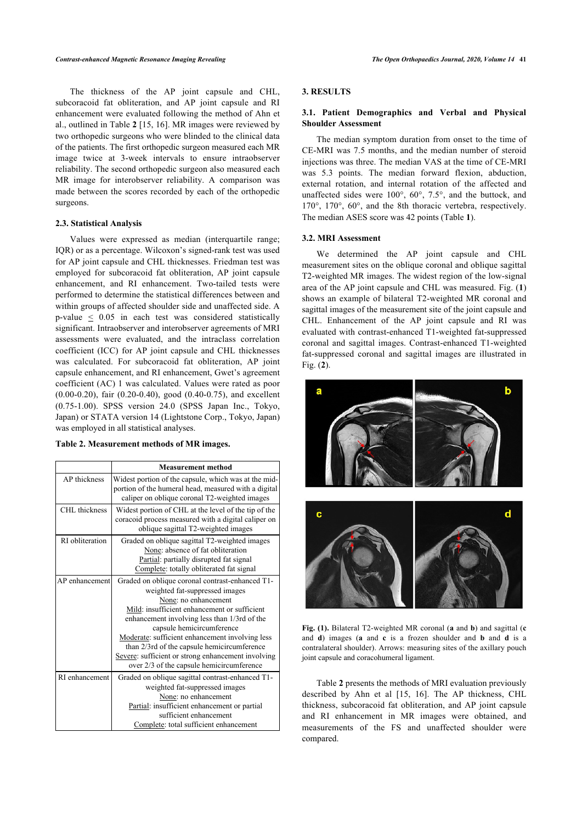The thickness of the AP joint capsule and CHL, subcoracoid fat obliteration, and AP joint capsule and RI enhancement were evaluated following the method of Ahn et al., outlined in Table **[2](#page-2-0)** [[15,](#page-5-11) [16\]](#page-5-12). MR images were reviewed by two orthopedic surgeons who were blinded to the clinical data of the patients. The first orthopedic surgeon measured each MR image twice at 3-week intervals to ensure intraobserver reliability. The second orthopedic surgeon also measured each MR image for interobserver reliability. A comparison was made between the scores recorded by each of the orthopedic surgeons.

#### **2.3. Statistical Analysis**

Values were expressed as median (interquartile range; IQR) or as a percentage. Wilcoxon's signed-rank test was used for AP joint capsule and CHL thicknesses. Friedman test was employed for subcoracoid fat obliteration, AP joint capsule enhancement, and RI enhancement. Two-tailed tests were performed to determine the statistical differences between and within groups of affected shoulder side and unaffected side. A p-value  $\leq$  0.05 in each test was considered statistically significant. Intraobserver and interobserver agreements of MRI assessments were evaluated, and the intraclass correlation coefficient (ICC) for AP joint capsule and CHL thicknesses was calculated. For subcoracoid fat obliteration, AP joint capsule enhancement, and RI enhancement, Gwet's agreement coefficient (AC) 1 was calculated. Values were rated as poor (0.00-0.20), fair (0.20-0.40), good (0.40-0.75), and excellent (0.75-1.00). SPSS version 24.0 (SPSS Japan Inc., Tokyo, Japan) or STATA version 14 (Lightstone Corp., Tokyo, Japan) was employed in all statistical analyses.

### <span id="page-2-1"></span><span id="page-2-0"></span>**Table 2. Measurement methods of MR images.**

|                 | <b>Measurement method</b>                                                                                                                                                                                                                                                                                                                                                                                                                   |
|-----------------|---------------------------------------------------------------------------------------------------------------------------------------------------------------------------------------------------------------------------------------------------------------------------------------------------------------------------------------------------------------------------------------------------------------------------------------------|
| AP thickness    | Widest portion of the capsule, which was at the mid-<br>portion of the humeral head, measured with a digital<br>caliper on oblique coronal T2-weighted images                                                                                                                                                                                                                                                                               |
| CHL thickness   | Widest portion of CHL at the level of the tip of the<br>coracoid process measured with a digital caliper on<br>oblique sagittal T2-weighted images                                                                                                                                                                                                                                                                                          |
| RI obliteration | Graded on oblique sagittal T2-weighted images<br>None: absence of fat obliteration<br>Partial: partially disrupted fat signal<br>Complete: totally obliterated fat signal                                                                                                                                                                                                                                                                   |
| AP enhancement  | Graded on oblique coronal contrast-enhanced T1-<br>weighted fat-suppressed images<br>None: no enhancement<br>Mild: insufficient enhancement or sufficient<br>enhancement involving less than 1/3rd of the<br>capsule hemicircumference<br>Moderate: sufficient enhancement involving less<br>than 2/3rd of the capsule hemicircumference<br>Severe: sufficient or strong enhancement involving<br>over 2/3 of the capsule hemicircumference |
| RI enhancement  | Graded on oblique sagittal contrast-enhanced T1-<br>weighted fat-suppressed images<br>None: no enhancement<br>Partial: insufficient enhancement or partial<br>sufficient enhancement<br>Complete: total sufficient enhancement                                                                                                                                                                                                              |

# **3. RESULTS**

# **3.1. Patient Demographics and Verbal and Physical Shoulder Assessment**

The median symptom duration from onset to the time of CE-MRI was 7.5 months, and the median number of steroid injections was three. The median VAS at the time of CE-MRI was 5.3 points. The median forward flexion, abduction, external rotation, and internal rotation of the affected and unaffected sides were 100°, 60°, 7.5°, and the buttock, and 170°, 170°, 60°, and the 8th thoracic vertebra, respectively. The median ASES score was 42 points (Table **[1](#page-1-0)**).

#### **3.2. MRI Assessment**

We determined the AP joint capsule and CHL measurement sites on the oblique coronal and oblique sagittal T2-weighted MR images. The widest region of the low-signal area of the AP joint capsule and CHL was measured. Fig. (**[1](#page-2-1)**) shows an example of bilateral T2-weighted MR coronal and sagittal images of the measurement site of the joint capsule and CHL. Enhancement of the AP joint capsule and RI was evaluated with contrast-enhanced T1-weighted fat-suppressed coronal and sagittal images. Contrast-enhanced T1-weighted fat-suppressed coronal and sagittal images are illustrated in Fig. (**[2](#page-3-0)**).



**Fig. (1).** Bilateral T2-weighted MR coronal (**a** and **b**) and sagittal (**c** and **d**) images (**a** and **c** is a frozen shoulder and **b** and **d** is a contralateral shoulder). Arrows: measuring sites of the axillary pouch joint capsule and coracohumeral ligament.

Table **[2](#page-2-0)** presents the methods of MRI evaluation previously described by Ahn et al[[15,](#page-5-11) [16\]](#page-5-12). The AP thickness, CHL thickness, subcoracoid fat obliteration, and AP joint capsule and RI enhancement in MR images were obtained, and measurements of the FS and unaffected shoulder were compared.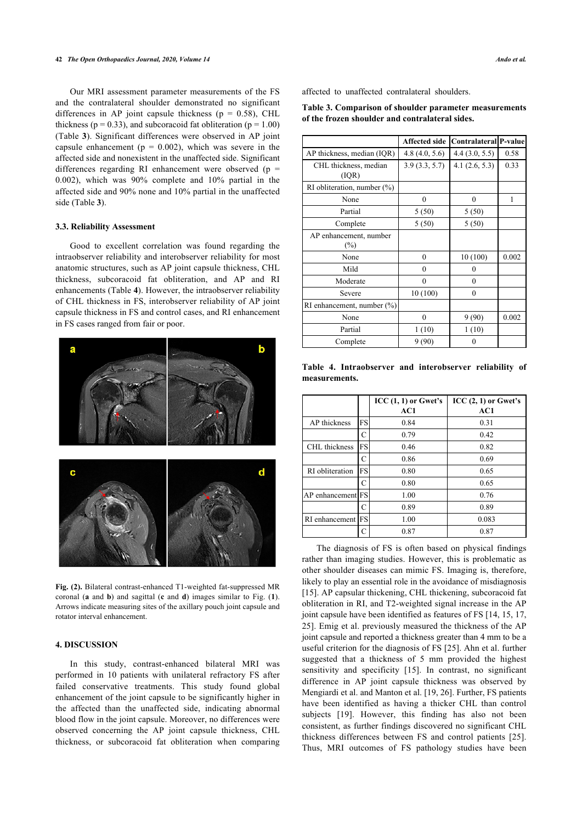<span id="page-3-1"></span>Our MRI assessment parameter measurements of the FS and the contralateral shoulder demonstrated no significant differences in AP joint capsule thickness ( $p = 0.58$ ), CHL thickness ( $p = 0.33$ ), and subcoracoid fat obliteration ( $p = 1.00$ ) (Table **[3](#page-3-1)**). Significant differences were observed in AP joint capsule enhancement ( $p = 0.002$ ), which was severe in the affected side and nonexistent in the unaffected side. Significant differences regarding RI enhancement were observed ( $p =$ 0.002), which was 90% complete and 10% partial in the affected side and 90% none and 10% partial in the unaffected side (Table **[3](#page-3-1)**).

#### **3.3. Reliability Assessment**

Good to excellent correlation was found regarding the intraobserver reliability and interobserver reliability for most anatomic structures, such as AP joint capsule thickness, CHL thickness, subcoracoid fat obliteration, and AP and RI enhancements (Table **[4](#page-3-2)**). However, the intraobserver reliability of CHL thickness in FS, interobserver reliability of AP joint capsule thickness in FS and control cases, and RI enhancement in FS cases ranged from fair or poor.

<span id="page-3-2"></span><span id="page-3-0"></span>

**Fig. (2).** Bilateral contrast-enhanced T1-weighted fat-suppressed MR coronal (**a** and **b**) and sagittal (**c** and **d**) images similar to Fig. (**[1](#page-2-1)**). Arrows indicate measuring sites of the axillary pouch joint capsule and rotator interval enhancement.

### **4. DISCUSSION**

In this study, contrast-enhanced bilateral MRI was performed in 10 patients with unilateral refractory FS after failed conservative treatments. This study found global enhancement of the joint capsule to be significantly higher in the affected than the unaffected side, indicating abnormal blood flow in the joint capsule. Moreover, no differences were observed concerning the AP joint capsule thickness, CHL thickness, or subcoracoid fat obliteration when comparing affected to unaffected contralateral shoulders.

**Table 3. Comparison of shoulder parameter measurements of the frozen shoulder and contralateral sides.**

|                                  | <b>Affected side</b> | Contralateral P-value |       |
|----------------------------------|----------------------|-----------------------|-------|
| AP thickness, median (IQR)       | 4.8(4.0, 5.6)        | 4.4(3.0, 5.5)         | 0.58  |
| CHL thickness, median<br>( IQR)  | 3.9(3.3, 5.7)        | 4.1(2.6, 5.3)         | 0.33  |
| RI obliteration, number $(\%)$   |                      |                       |       |
| None                             | 0                    | 0                     | 1     |
| Partial                          | 5(50)                | 5(50)                 |       |
| Complete                         | 5(50)                | 5(50)                 |       |
| AP enhancement, number<br>$(\%)$ |                      |                       |       |
| None                             | $\theta$             | 10(100)               | 0.002 |
| Mild                             | $\theta$             | 0                     |       |
| Moderate                         | $\theta$             | $\theta$              |       |
| Severe                           | 10(100)              | $\theta$              |       |
| RI enhancement, number $(\%)$    |                      |                       |       |
| None                             | $\theta$             | 9(90)                 | 0.002 |
| Partial                          | 1(10)                | 1(10)                 |       |
| Complete                         | 9(90)                | 0                     |       |

**Table 4. Intraobserver and interobserver reliability of measurements.**

|                   |               | $ICC(1, 1)$ or Gwet's<br>AC1 | $ICC(2, 1)$ or Gwet's<br>AC1 |
|-------------------|---------------|------------------------------|------------------------------|
| AP thickness      | FS            | 0.84                         | 0.31                         |
|                   | С             | 0.79                         | 0.42                         |
| CHL thickness     | <b>FS</b>     | 0.46                         | 0.82                         |
|                   | С             | 0.86                         | 0.69                         |
| RI obliteration   | FS            | 0.80                         | 0.65                         |
|                   | C             | 0.80                         | 0.65                         |
| AP enhancement FS |               | 1.00                         | 0.76                         |
|                   | C             | 0.89                         | 0.89                         |
| RI enhancement    | FS            | 1.00                         | 0.083                        |
|                   | $\mathcal{C}$ | 0.87                         | 0.87                         |

The diagnosis of FS is often based on physical findings rather than imaging studies. However, this is problematic as other shoulder diseases can mimic FS. Imaging is, therefore, likely to play an essential role in the avoidance of misdiagnosis [[15](#page-5-11)]. AP capsular thickening, CHL thickening, subcoracoid fat obliteration in RI, and T2-weighted signal increase in the AP joint capsule have been identified as features of FS [[14,](#page-5-10) [15,](#page-5-11) [17](#page-5-16), [25](#page-5-20)]. Emig et al. previously measured the thickness of the AP joint capsule and reported a thickness greater than 4 mm to be a useful criterion for the diagnosis of FS [[25\]](#page-5-20). Ahn et al. further suggested that a thickness of 5 mm provided the highest sensitivityand specificity [[15\]](#page-5-11). In contrast, no significant difference in AP joint capsule thickness was observed by Mengiardi et al. and Manton et al. [\[19](#page-5-21), [26\]](#page-5-22). Further, FS patients have been identified as having a thicker CHL than control subjects[[19](#page-5-21)]. However, this finding has also not been consistent, as further findings discovered no significant CHL thickness differences between FS and control patients[[25](#page-5-20)]. Thus, MRI outcomes of FS pathology studies have been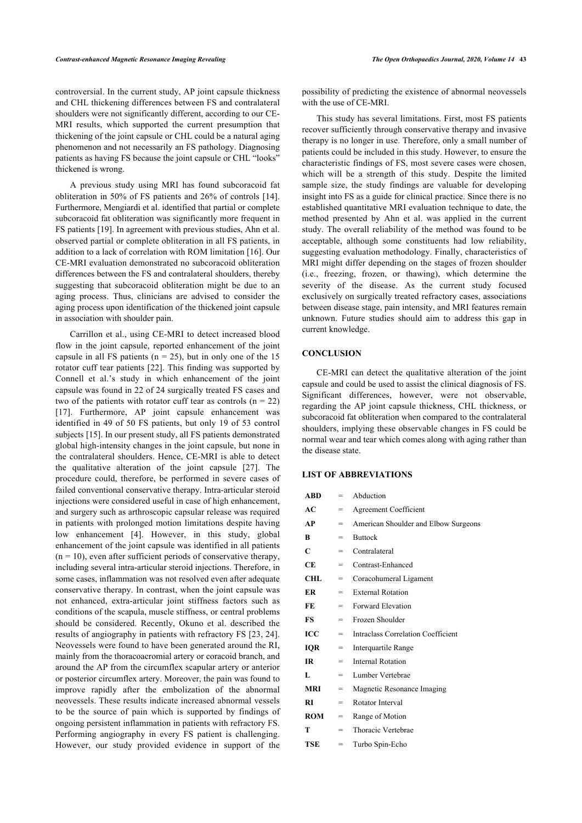controversial. In the current study, AP joint capsule thickness and CHL thickening differences between FS and contralateral shoulders were not significantly different, according to our CE-MRI results, which supported the current presumption that thickening of the joint capsule or CHL could be a natural aging phenomenon and not necessarily an FS pathology. Diagnosing patients as having FS because the joint capsule or CHL "looks" thickened is wrong.

A previous study using MRI has found subcoracoid fat obliteration in 50% of FS patients and 26% of controls [[14\]](#page-5-10). Furthermore, Mengiardi et al. identified that partial or complete subcoracoid fat obliteration was significantly more frequent in FS patients [[19\]](#page-5-21). In agreement with previous studies, Ahn et al. observed partial or complete obliteration in all FS patients, in addition to a lack of correlation with ROM limitation [[16\]](#page-5-12). Our CE-MRI evaluation demonstrated no subcoracoid obliteration differences between the FS and contralateral shoulders, thereby suggesting that subcoracoid obliteration might be due to an aging process. Thus, clinicians are advised to consider the aging process upon identification of the thickened joint capsule in association with shoulder pain.

Carrillon et al., using CE-MRI to detect increased blood flow in the joint capsule, reported enhancement of the joint capsule in all FS patients ( $n = 25$ ), but in only one of the 15 rotator cuff tear patients [[22](#page-5-17)]. This finding was supported by Connell et al.'s study in which enhancement of the joint capsule was found in 22 of 24 surgically treated FS cases and two of the patients with rotator cuff tear as controls  $(n = 22)$ [[17\]](#page-5-16). Furthermore, AP joint capsule enhancement was identified in 49 of 50 FS patients, but only 19 of 53 control subjects [[15\]](#page-5-11). In our present study, all FS patients demonstrated global high-intensity changes in the joint capsule, but none in the contralateral shoulders. Hence, CE-MRI is able to detect the qualitative alteration of the joint capsule [\[27\]](#page-6-0). The procedure could, therefore, be performed in severe cases of failed conventional conservative therapy. Intra-articular steroid injections were considered useful in case of high enhancement, and surgery such as arthroscopic capsular release was required in patients with prolonged motion limitations despite having low enhancement[[4\]](#page-5-2). However, in this study, global enhancement of the joint capsule was identified in all patients  $(n = 10)$ , even after sufficient periods of conservative therapy, including several intra-articular steroid injections. Therefore, in some cases, inflammation was not resolved even after adequate conservative therapy. In contrast, when the joint capsule was not enhanced, extra-articular joint stiffness factors such as conditions of the scapula, muscle stiffness, or central problems should be considered. Recently, Okuno et al. described the results of angiography in patients with refractory FS [[23,](#page-5-18) [24\]](#page-5-19). Neovessels were found to have been generated around the RI, mainly from the thoracoacromial artery or coracoid branch, and around the AP from the circumflex scapular artery or anterior or posterior circumflex artery. Moreover, the pain was found to improve rapidly after the embolization of the abnormal neovessels. These results indicate increased abnormal vessels to be the source of pain which is supported by findings of ongoing persistent inflammation in patients with refractory FS. Performing angiography in every FS patient is challenging. However, our study provided evidence in support of the

possibility of predicting the existence of abnormal neovessels with the use of CE-MRI.

This study has several limitations. First, most FS patients recover sufficiently through conservative therapy and invasive therapy is no longer in use. Therefore, only a small number of patients could be included in this study. However, to ensure the characteristic findings of FS, most severe cases were chosen, which will be a strength of this study. Despite the limited sample size, the study findings are valuable for developing insight into FS as a guide for clinical practice. Since there is no established quantitative MRI evaluation technique to date, the method presented by Ahn et al. was applied in the current study. The overall reliability of the method was found to be acceptable, although some constituents had low reliability, suggesting evaluation methodology. Finally, characteristics of MRI might differ depending on the stages of frozen shoulder (i.e., freezing, frozen, or thawing), which determine the severity of the disease. As the current study focused exclusively on surgically treated refractory cases, associations between disease stage, pain intensity, and MRI features remain unknown. Future studies should aim to address this gap in current knowledge.

### **CONCLUSION**

CE-MRI can detect the qualitative alteration of the joint capsule and could be used to assist the clinical diagnosis of FS. Significant differences, however, were not observable, regarding the AP joint capsule thickness, CHL thickness, or subcoracoid fat obliteration when compared to the contralateral shoulders, implying these observable changes in FS could be normal wear and tear which comes along with aging rather than the disease state.

# **LIST OF ABBREVIATIONS**

| <b>ABD</b> | =   | Abduction                            |
|------------|-----|--------------------------------------|
| AC         | $=$ | Agreement Coefficient                |
| AP         | $=$ | American Shoulder and Elbow Surgeons |
| R          | $=$ | <b>Buttock</b>                       |
| C          | =   | Contralateral                        |
| <b>CE</b>  | =   | Contrast-Enhanced                    |
| CHL        | $=$ | Coracohumeral Ligament               |
| ER         | $=$ | <b>External Rotation</b>             |
| FE         | $=$ | <b>Forward Elevation</b>             |
| <b>FS</b>  | $=$ | Frozen Shoulder                      |
| ICC        | =   | Intraclass Correlation Coefficient   |
| <b>IQR</b> | $=$ | Interquartile Range                  |
| <b>IR</b>  | $=$ | <b>Internal Rotation</b>             |
| L          | $=$ | Lumber Vertebrae                     |
| <b>MRI</b> | $=$ | Magnetic Resonance Imaging           |
| <b>RI</b>  | $=$ | Rotator Interval                     |
| <b>ROM</b> | $=$ | Range of Motion                      |
| т          | =   | Thoracic Vertebrae                   |
| <b>TSE</b> | =   | Turbo Spin-Echo                      |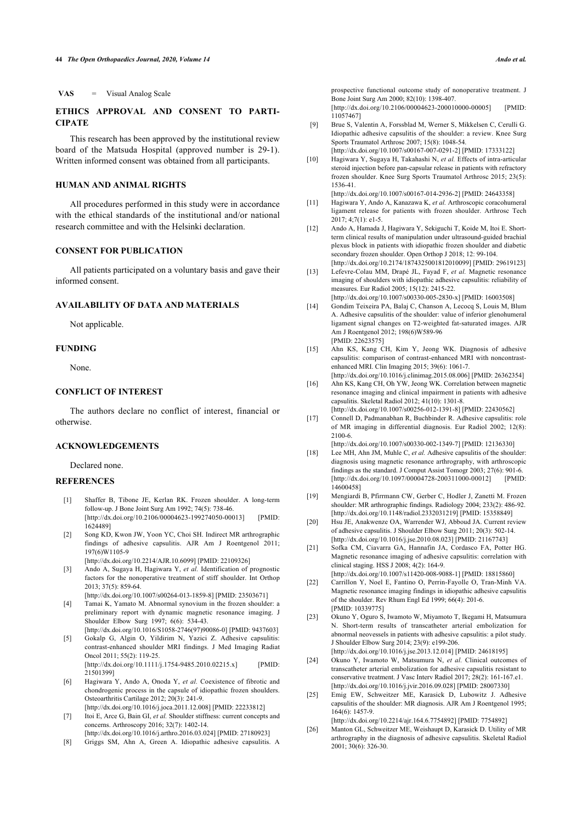**VAS** = Visual Analog Scale

# <span id="page-5-5"></span>**ETHICS APPROVAL AND CONSENT TO PARTI-CIPATE**

<span id="page-5-6"></span>This research has been approved by the institutional review board of the Matsuda Hospital (approved number is 29-1). Written informed consent was obtained from all participants.

# **HUMAN AND ANIMAL RIGHTS**

<span id="page-5-8"></span><span id="page-5-7"></span>All procedures performed in this study were in accordance with the ethical standards of the institutional and/or national research committee and with the Helsinki declaration.

# **CONSENT FOR PUBLICATION**

<span id="page-5-9"></span>All patients participated on a voluntary basis and gave their informed consent.

# <span id="page-5-10"></span>**AVAILABILITY OF DATA AND MATERIALS**

Not applicable.

### <span id="page-5-11"></span>**FUNDING**

None.

## <span id="page-5-12"></span>**CONFLICT OF INTEREST**

<span id="page-5-16"></span>The authors declare no conflict of interest, financial or otherwise.

# **ACKNOWLEDGEMENTS**

Declared none.

### <span id="page-5-21"></span><span id="page-5-0"></span>**REFERENCES**

- [1] Shaffer B, Tibone JE, Kerlan RK. Frozen shoulder. A long-term follow-up. J Bone Joint Surg Am 1992; 74(5): 738-46. [\[http://dx.doi.org/10.2106/00004623-199274050-00013\]](http://dx.doi.org/10.2106/00004623-199274050-00013) [PMID: [1624489](http://www.ncbi.nlm.nih.gov/pubmed/1624489)]
- <span id="page-5-15"></span><span id="page-5-14"></span>[2] Song KD, Kwon JW, Yoon YC, Choi SH. Indirect MR arthrographic findings of adhesive capsulitis. AJR Am J Roentgenol 2011; 197(6)W1105-9 [\[http://dx.doi.org/10.2214/AJR.10.6099](http://dx.doi.org/10.2214/AJR.10.6099)] [PMID: [22109326\]](http://www.ncbi.nlm.nih.gov/pubmed/22109326)
	-
- <span id="page-5-17"></span><span id="page-5-1"></span>[3] Ando A, Sugaya H, Hagiwara Y, *et al.* Identification of prognostic factors for the nonoperative treatment of stiff shoulder. Int Orthop 2013; 37(5): 859-64. [\[http://dx.doi.org/10.1007/s00264-013-1859-8](http://dx.doi.org/10.1007/s00264-013-1859-8)] [PMID: [23503671\]](http://www.ncbi.nlm.nih.gov/pubmed/23503671)
	-
- <span id="page-5-18"></span><span id="page-5-2"></span>[4] Tamai K, Yamato M. Abnormal synovium in the frozen shoulder: a preliminary report with dynamic magnetic resonance imaging. J Shoulder Elbow Surg 1997; 6(6): 534-43. [\[http://dx.doi.org/10.1016/S1058-2746\(97\)90086-0](http://dx.doi.org/10.1016/S1058-2746(97)90086-0)] [PMID: [9437603](http://www.ncbi.nlm.nih.gov/pubmed/9437603)]
- <span id="page-5-13"></span>[5] Gokalp G, Algin O, Yildirim N, Yazici Z. Adhesive capsulitis: contrast-enhanced shoulder MRI findings. J Med Imaging Radiat Oncol 2011; 55(2): 119-25. [\[http://dx.doi.org/10.1111/j.1754-9485.2010.02215.x\]](http://dx.doi.org/10.1111/j.1754-9485.2010.02215.x) [PMID: [21501399\]](http://www.ncbi.nlm.nih.gov/pubmed/21501399)
- <span id="page-5-20"></span><span id="page-5-19"></span>[6] Hagiwara Y, Ando A, Onoda Y, *et al.* Coexistence of fibrotic and chondrogenic process in the capsule of idiopathic frozen shoulders. Osteoarthritis Cartilage 2012; 20(3): 241-9.
- <span id="page-5-3"></span>[\[http://dx.doi.org/10.1016/j.joca.2011.12.008](http://dx.doi.org/10.1016/j.joca.2011.12.008)] [PMID: [22233812\]](http://www.ncbi.nlm.nih.gov/pubmed/22233812) [7] Itoi E, Arce G, Bain GI, *et al.* Shoulder stiffness: current concepts and concerns. Arthroscopy 2016; 32(7): 1402-14.
- [\[http://dx.doi.org/10.1016/j.arthro.2016.03.024](http://dx.doi.org/10.1016/j.arthro.2016.03.024)] [PMID: [27180923\]](http://www.ncbi.nlm.nih.gov/pubmed/27180923)
- <span id="page-5-22"></span><span id="page-5-4"></span>[8] Griggs SM, Ahn A, Green A. Idiopathic adhesive capsulitis. A

prospective functional outcome study of nonoperative treatment. J Bone Joint Surg Am 2000; 82(10): 1398-407.

[\[http://dx.doi.org/10.2106/00004623-200010000-00005](http://dx.doi.org/10.2106/00004623-200010000-00005)] [PMID: [11057467\]](http://www.ncbi.nlm.nih.gov/pubmed/11057467)

- [9] Brue S, Valentin A, Forssblad M, Werner S, Mikkelsen C, Cerulli G. Idiopathic adhesive capsulitis of the shoulder: a review. Knee Surg Sports Traumatol Arthrosc 2007; 15(8): 1048-54. [\[http://dx.doi.org/10.1007/s00167-007-0291-2\]](http://dx.doi.org/10.1007/s00167-007-0291-2) [PMID: [17333122](http://www.ncbi.nlm.nih.gov/pubmed/17333122)]
- [10] Hagiwara Y, Sugaya H, Takahashi N, *et al.* Effects of intra-articular steroid injection before pan-capsular release in patients with refractory frozen shoulder. Knee Surg Sports Traumatol Arthrosc 2015; 23(5): 1536-41.
- [\[http://dx.doi.org/10.1007/s00167-014-2936-2\]](http://dx.doi.org/10.1007/s00167-014-2936-2) [PMID: [24643358](http://www.ncbi.nlm.nih.gov/pubmed/24643358)]
- [11] Hagiwara Y, Ando A, Kanazawa K, *et al.* Arthroscopic coracohumeral ligament release for patients with frozen shoulder. Arthrosc Tech 2017; 4;7(1): e1-5.
- [12] Ando A, Hamada J, Hagiwara Y, Sekiguchi T, Koide M, Itoi E. Shortterm clinical results of manipulation under ultrasound-guided brachial plexus block in patients with idiopathic frozen shoulder and diabetic secondary frozen shoulder. Open Orthop J 2018; 12: 99-104. [\[http://dx.doi.org/10.2174/1874325001812010099\]](http://dx.doi.org/10.2174/1874325001812010099) [PMID: [29619123\]](http://www.ncbi.nlm.nih.gov/pubmed/29619123)
- [13] Lefevre-Colau MM, Drapé JL, Fayad F, *et al.* Magnetic resonance imaging of shoulders with idiopathic adhesive capsulitis: reliability of measures. Eur Radiol 2005; 15(12): 2415-22. [\[http://dx.doi.org/10.1007/s00330-005-2830-x\]](http://dx.doi.org/10.1007/s00330-005-2830-x) [PMID: [16003508](http://www.ncbi.nlm.nih.gov/pubmed/16003508)]
- [14] Gondim Teixeira PA, Balaj C, Chanson A, Lecocq S, Louis M, Blum A. Adhesive capsulitis of the shoulder: value of inferior glenohumeral ligament signal changes on T2-weighted fat-saturated images. AJR Am J Roentgenol 2012; 198(6)W589-96 [PMID: [22623575\]](http://www.ncbi.nlm.nih.gov/pubmed/22623575)
- [15] Ahn KS, Kang CH, Kim Y, Jeong WK. Diagnosis of adhesive capsulitis: comparison of contrast-enhanced MRI with noncontrastenhanced MRI. Clin Imaging 2015; 39(6): 1061-7.
- [\[http://dx.doi.org/10.1016/j.clinimag.2015.08.006](http://dx.doi.org/10.1016/j.clinimag.2015.08.006)] [PMID: [26362354](http://www.ncbi.nlm.nih.gov/pubmed/26362354)] [16] Ahn KS, Kang CH, Oh YW, Jeong WK. Correlation between magnetic resonance imaging and clinical impairment in patients with adhesive capsulitis. Skeletal Radiol 2012; 41(10): 1301-8.
- [\[http://dx.doi.org/10.1007/s00256-012-1391-8\]](http://dx.doi.org/10.1007/s00256-012-1391-8) [PMID: [22430562](http://www.ncbi.nlm.nih.gov/pubmed/22430562)] [17] Connell D, Padmanabhan R, Buchbinder R. Adhesive capsulitis: role of MR imaging in differential diagnosis. Eur Radiol 2002; 12(8): 2100-6.
- [\[http://dx.doi.org/10.1007/s00330-002-1349-7\]](http://dx.doi.org/10.1007/s00330-002-1349-7) [PMID: [12136330](http://www.ncbi.nlm.nih.gov/pubmed/12136330)] [18] Lee MH, Ahn JM, Muhle C, *et al.* Adhesive capsulitis of the shoulder:
- diagnosis using magnetic resonance arthrography, with arthroscopic findings as the standard. J Comput Assist Tomogr 2003; 27(6): 901-6. [\[http://dx.doi.org/10.1097/00004728-200311000-00012](http://dx.doi.org/10.1097/00004728-200311000-00012)] [PMID: [14600458\]](http://www.ncbi.nlm.nih.gov/pubmed/14600458)
- [19] Mengiardi B, Pfirrmann CW, Gerber C, Hodler J, Zanetti M. Frozen shoulder: MR arthrographic findings. Radiology 2004; 233(2): 486-92. [\[http://dx.doi.org/10.1148/radiol.2332031219\]](http://dx.doi.org/10.1148/radiol.2332031219) [PMID: [15358849](http://www.ncbi.nlm.nih.gov/pubmed/15358849)]
- [20] Hsu JE, Anakwenze OA, Warrender WJ, Abboud JA. Current review of adhesive capsulitis. J Shoulder Elbow Surg 2011; 20(3): 502-14. [\[http://dx.doi.org/10.1016/j.jse.2010.08.023\]](http://dx.doi.org/10.1016/j.jse.2010.08.023) [PMID: [21167743](http://www.ncbi.nlm.nih.gov/pubmed/21167743)]
- [21] Sofka CM, Ciavarra GA, Hannafin JA, Cordasco FA, Potter HG. Magnetic resonance imaging of adhesive capsulitis: correlation with clinical staging. HSS J 2008; 4(2): 164-9. [\[http://dx.doi.org/10.1007/s11420-008-9088-1\]](http://dx.doi.org/10.1007/s11420-008-9088-1) [PMID: [18815860](http://www.ncbi.nlm.nih.gov/pubmed/18815860)]
- [22] Carrillon Y, Noel E, Fantino O, Perrin-Fayolle O, Tran-Minh VA. Magnetic resonance imaging findings in idiopathic adhesive capsulitis of the shoulder. Rev Rhum Engl Ed 1999; 66(4): 201-6. [PMID: [10339775\]](http://www.ncbi.nlm.nih.gov/pubmed/10339775)
- [23] Okuno Y, Oguro S, Iwamoto W, Miyamoto T, Ikegami H, Matsumura N. Short-term results of transcatheter arterial embolization for abnormal neovessels in patients with adhesive capsulitis: a pilot study. J Shoulder Elbow Surg 2014; 23(9): e199-206. [\[http://dx.doi.org/10.1016/j.jse.2013.12.014\]](http://dx.doi.org/10.1016/j.jse.2013.12.014) [PMID: [24618195](http://www.ncbi.nlm.nih.gov/pubmed/24618195)]
- [24] Okuno Y, Iwamoto W, Matsumura N, *et al.* Clinical outcomes of transcatheter arterial embolization for adhesive capsulitis resistant to conservative treatment. J Vasc Interv Radiol 2017; 28(2): 161-167.e1. [\[http://dx.doi.org/10.1016/j.jvir.2016.09.028\]](http://dx.doi.org/10.1016/j.jvir.2016.09.028) [PMID: [28007330](http://www.ncbi.nlm.nih.gov/pubmed/28007330)]
- [25] Emig EW, Schweitzer ME, Karasick D, Lubowitz J. Adhesive capsulitis of the shoulder: MR diagnosis. AJR Am J Roentgenol 1995; 164(6): 1457-9.

[\[http://dx.doi.org/10.2214/ajr.164.6.7754892\]](http://dx.doi.org/10.2214/ajr.164.6.7754892) [PMID: [7754892\]](http://www.ncbi.nlm.nih.gov/pubmed/7754892)

[26] Manton GL, Schweitzer ME, Weishaupt D, Karasick D. Utility of MR arthrography in the diagnosis of adhesive capsulitis. Skeletal Radiol 2001; 30(6): 326-30.